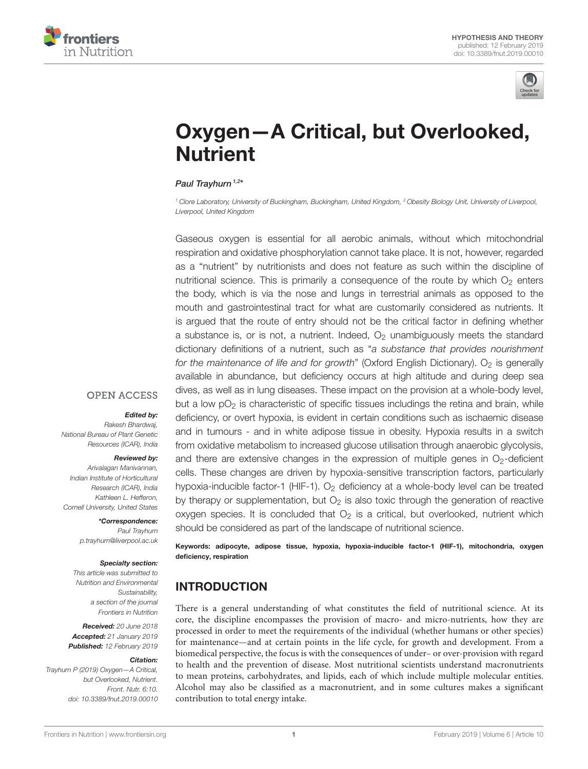



# [Oxygen—A Critical, but Overlooked,](https://www.frontiersin.org/articles/10.3389/fnut.2019.00010/full) **Nutrient**

[Paul Trayhurn](http://loop.frontiersin.org/people/29830/overview) 1,2\*

*<sup>1</sup> Clore Laboratory, University of Buckingham, Buckingham, United Kingdom, <sup>2</sup> Obesity Biology Unit, University of Liverpool, Liverpool, United Kingdom*

Gaseous oxygen is essential for all aerobic animals, without which mitochondrial respiration and oxidative phosphorylation cannot take place. It is not, however, regarded as a "nutrient" by nutritionists and does not feature as such within the discipline of nutritional science. This is primarily a consequence of the route by which  $O<sub>2</sub>$  enters the body, which is via the nose and lungs in terrestrial animals as opposed to the mouth and gastrointestinal tract for what are customarily considered as nutrients. It is argued that the route of entry should not be the critical factor in defining whether a substance is, or is not, a nutrient. Indeed,  $O<sub>2</sub>$  unambiguously meets the standard dictionary definitions of a nutrient, such as "*a substance that provides nourishment for the maintenance of life and for growth*" (Oxford English Dictionary). O<sub>2</sub> is generally available in abundance, but deficiency occurs at high altitude and during deep sea dives, as well as in lung diseases. These impact on the provision at a whole-body level, but a low  $pO<sub>2</sub>$  is characteristic of specific tissues includings the retina and brain, while deficiency, or overt hypoxia, is evident in certain conditions such as ischaemic disease and in tumours - and in white adipose tissue in obesity. Hypoxia results in a switch from oxidative metabolism to increased glucose utilisation through anaerobic glycolysis, and there are extensive changes in the expression of multiple genes in  $O<sub>2</sub>$ -deficient cells. These changes are driven by hypoxia-sensitive transcription factors, particularly hypoxia-inducible factor-1 (HIF-1). O<sub>2</sub> deficiency at a whole-body level can be treated by therapy or supplementation, but  $O<sub>2</sub>$  is also toxic through the generation of reactive oxygen species. It is concluded that  $O<sub>2</sub>$  is a critical, but overlooked, nutrient which should be considered as part of the landscape of nutritional science.

Keywords: adipocyte, adipose tissue, hypoxia, hypoxia-inducible factor-1 (HIF-1), mitochondria, oxygen deficiency, respiration

### INTRODUCTION

There is a general understanding of what constitutes the field of nutritional science. At its core, the discipline encompasses the provision of macro- and micro-nutrients, how they are processed in order to meet the requirements of the individual (whether humans or other species) for maintenance—and at certain points in the life cycle, for growth and development. From a biomedical perspective, the focus is with the consequences of under– or over-provision with regard to health and the prevention of disease. Most nutritional scientists understand macronutrients to mean proteins, carbohydrates, and lipids, each of which include multiple molecular entities. Alcohol may also be classified as a macronutrient, and in some cultures makes a significant contribution to total energy intake.

#### **OPEN ACCESS**

#### Edited by:

*Rakesh Bhardwaj, National Bureau of Plant Genetic Resources (ICAR), India*

#### Reviewed by:

*Arivalagan Manivannan, Indian Institute of Horticultural Research (ICAR), India Kathleen L. Hefferon, Cornell University, United States*

## \*Correspondence:

*Paul Trayhurn [p.trayhurn@liverpool.ac.uk](mailto:p.trayhurn@liverpool.ac.uk)*

#### Specialty section:

*This article was submitted to Nutrition and Environmental Sustainability, a section of the journal Frontiers in Nutrition*

Received: *20 June 2018* Accepted: *21 January 2019* Published: *12 February 2019*

#### Citation:

*Trayhurn P (2019) Oxygen—A Critical, but Overlooked, Nutrient. Front. Nutr. 6:10. doi: [10.3389/fnut.2019.00010](https://doi.org/10.3389/fnut.2019.00010)*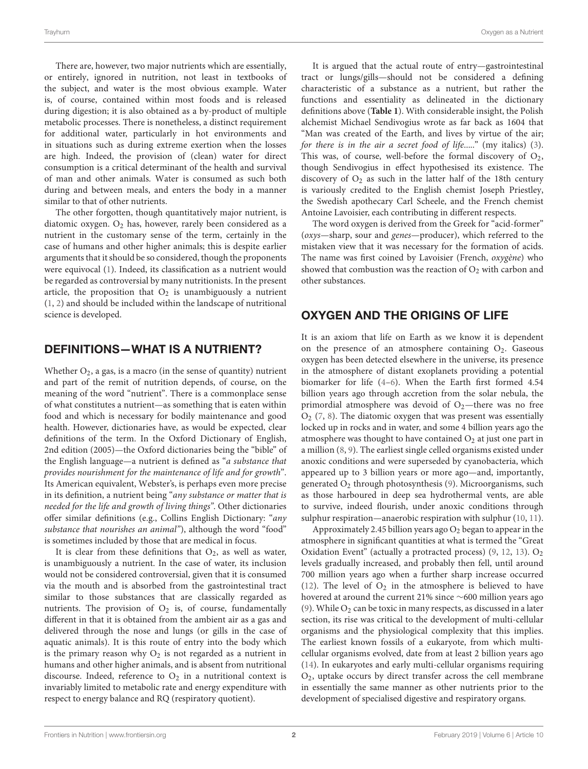There are, however, two major nutrients which are essentially, or entirely, ignored in nutrition, not least in textbooks of the subject, and water is the most obvious example. Water is, of course, contained within most foods and is released during digestion; it is also obtained as a by-product of multiple metabolic processes. There is nonetheless, a distinct requirement for additional water, particularly in hot environments and in situations such as during extreme exertion when the losses are high. Indeed, the provision of (clean) water for direct consumption is a critical determinant of the health and survival of man and other animals. Water is consumed as such both during and between meals, and enters the body in a manner similar to that of other nutrients.

The other forgotten, though quantitatively major nutrient, is diatomic oxygen.  $O_2$  has, however, rarely been considered as a nutrient in the customary sense of the term, certainly in the case of humans and other higher animals; this is despite earlier arguments that it should be so considered, though the proponents were equivocal [\(1\)](#page-6-0). Indeed, its classification as a nutrient would be regarded as controversial by many nutritionists. In the present article, the proposition that  $O_2$  is unambiguously a nutrient [\(1,](#page-6-0) [2\)](#page-6-1) and should be included within the landscape of nutritional science is developed.

#### DEFINITIONS—WHAT IS A NUTRIENT?

Whether  $O_2$ , a gas, is a macro (in the sense of quantity) nutrient and part of the remit of nutrition depends, of course, on the meaning of the word "nutrient". There is a commonplace sense of what constitutes a nutrient—as something that is eaten within food and which is necessary for bodily maintenance and good health. However, dictionaries have, as would be expected, clear definitions of the term. In the Oxford Dictionary of English, 2nd edition (2005)—the Oxford dictionaries being the "bible" of the English language—a nutrient is defined as "a substance that provides nourishment for the maintenance of life and for growth". Its American equivalent, Webster's, is perhaps even more precise in its definition, a nutrient being "any substance or matter that is needed for the life and growth of living things". Other dictionaries offer similar definitions (e.g., Collins English Dictionary: "any substance that nourishes an animal"), although the word "food" is sometimes included by those that are medical in focus.

It is clear from these definitions that  $O_2$ , as well as water, is unambiguously a nutrient. In the case of water, its inclusion would not be considered controversial, given that it is consumed via the mouth and is absorbed from the gastrointestinal tract similar to those substances that are classically regarded as nutrients. The provision of  $O<sub>2</sub>$  is, of course, fundamentally different in that it is obtained from the ambient air as a gas and delivered through the nose and lungs (or gills in the case of aquatic animals). It is this route of entry into the body which is the primary reason why  $O_2$  is not regarded as a nutrient in humans and other higher animals, and is absent from nutritional discourse. Indeed, reference to  $O_2$  in a nutritional context is invariably limited to metabolic rate and energy expenditure with respect to energy balance and RQ (respiratory quotient).

It is argued that the actual route of entry—gastrointestinal tract or lungs/gills—should not be considered a defining characteristic of a substance as a nutrient, but rather the functions and essentiality as delineated in the dictionary definitions above (**[Table 1](#page-2-0)**). With considerable insight, the Polish alchemist Michael Sendivogius wrote as far back as 1604 that "Man was created of the Earth, and lives by virtue of the air; for there is in the air a secret food of life....." (my italics) [\(3\)](#page-6-2). This was, of course, well-before the formal discovery of  $O_2$ , though Sendivogius in effect hypothesised its existence. The discovery of  $O<sub>2</sub>$  as such in the latter half of the 18th century is variously credited to the English chemist Joseph Priestley, the Swedish apothecary Carl Scheele, and the French chemist Antoine Lavoisier, each contributing in different respects.

The word oxygen is derived from the Greek for "acid-former" (oxys—sharp, sour and genes—producer), which referred to the mistaken view that it was necessary for the formation of acids. The name was first coined by Lavoisier (French, oxygène) who showed that combustion was the reaction of  $O_2$  with carbon and other substances.

#### OXYGEN AND THE ORIGINS OF LIFE

It is an axiom that life on Earth as we know it is dependent on the presence of an atmosphere containing  $O_2$ . Gaseous oxygen has been detected elsewhere in the universe, its presence in the atmosphere of distant exoplanets providing a potential biomarker for life [\(4](#page-6-3)[–6\)](#page-6-4). When the Earth first formed 4.54 billion years ago through accretion from the solar nebula, the primordial atmosphere was devoid of  $O<sub>2</sub>$ -there was no free  $O<sub>2</sub>$  [\(7,](#page-6-5) [8\)](#page-6-6). The diatomic oxygen that was present was essentially locked up in rocks and in water, and some 4 billion years ago the atmosphere was thought to have contained  $O_2$  at just one part in a million [\(8,](#page-6-6) [9\)](#page-6-7). The earliest single celled organisms existed under anoxic conditions and were superseded by cyanobacteria, which appeared up to 3 billion years or more ago—and, importantly, generated O<sub>2</sub> through photosynthesis [\(9\)](#page-6-7). Microorganisms, such as those harboured in deep sea hydrothermal vents, are able to survive, indeed flourish, under anoxic conditions through sulphur respiration—anaerobic respiration with sulphur [\(10,](#page-6-8) [11\)](#page-6-9).

Approximately 2.45 billion years ago  $O_2$  began to appear in the atmosphere in significant quantities at what is termed the "Great Oxidation Event" (actually a protracted process) [\(9,](#page-6-7) [12,](#page-7-0) [13\)](#page-7-1). O<sub>2</sub> levels gradually increased, and probably then fell, until around 700 million years ago when a further sharp increase occurred [\(12\)](#page-7-0). The level of  $O_2$  in the atmosphere is believed to have hovered at around the current 21% since ∼600 million years ago [\(9\)](#page-6-7). While  $O_2$  can be toxic in many respects, as discussed in a later section, its rise was critical to the development of multi-cellular organisms and the physiological complexity that this implies. The earliest known fossils of a eukaryote, from which multicellular organisms evolved, date from at least 2 billion years ago [\(14\)](#page-7-2). In eukaryotes and early multi-cellular organisms requiring O2, uptake occurs by direct transfer across the cell membrane in essentially the same manner as other nutrients prior to the development of specialised digestive and respiratory organs.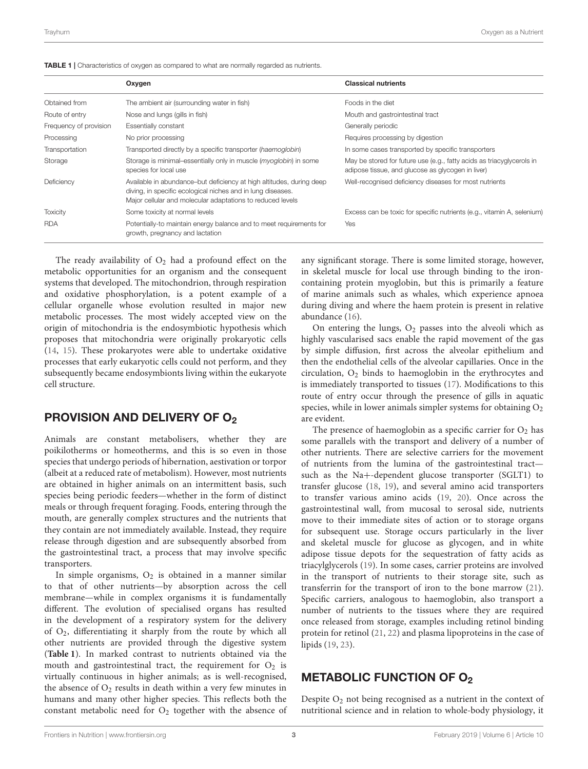|                        | Oxygen                                                                                                                                                                                            | <b>Classical nutrients</b>                                                                                                 |
|------------------------|---------------------------------------------------------------------------------------------------------------------------------------------------------------------------------------------------|----------------------------------------------------------------------------------------------------------------------------|
| Obtained from          | The ambient air (surrounding water in fish)                                                                                                                                                       | Foods in the diet                                                                                                          |
| Route of entry         | Nose and lungs (gills in fish)                                                                                                                                                                    | Mouth and gastrointestinal tract                                                                                           |
| Frequency of provision | Essentially constant                                                                                                                                                                              | Generally periodic                                                                                                         |
| Processing             | No prior processing                                                                                                                                                                               | Requires processing by digestion                                                                                           |
| Transportation         | Transported directly by a specific transporter (haemoglobin)                                                                                                                                      | In some cases transported by specific transporters                                                                         |
| Storage                | Storage is minimal-essentially only in muscle (myoglobin) in some<br>species for local use                                                                                                        | May be stored for future use (e.g., fatty acids as triacyglycerols in<br>adipose tissue, and glucose as glycogen in liver) |
| Deficiency             | Available in abundance-but deficiency at high altitudes, during deep<br>diving, in specific ecological niches and in lung diseases.<br>Major cellular and molecular adaptations to reduced levels | Well-recognised deficiency diseases for most nutrients                                                                     |
| <b>Toxicity</b>        | Some toxicity at normal levels                                                                                                                                                                    | Excess can be toxic for specific nutrients (e.g., vitamin A, selenium)                                                     |
| <b>RDA</b>             | Potentially-to maintain energy balance and to meet requirements for<br>growth, pregnancy and lactation                                                                                            | Yes                                                                                                                        |

<span id="page-2-0"></span>TABLE 1 | Characteristics of oxygen as compared to what are normally regarded as nutrients.

The ready availability of  $O_2$  had a profound effect on the metabolic opportunities for an organism and the consequent systems that developed. The mitochondrion, through respiration and oxidative phosphorylation, is a potent example of a cellular organelle whose evolution resulted in major new metabolic processes. The most widely accepted view on the origin of mitochondria is the endosymbiotic hypothesis which proposes that mitochondria were originally prokaryotic cells [\(14,](#page-7-2) [15\)](#page-7-3). These prokaryotes were able to undertake oxidative processes that early eukaryotic cells could not perform, and they subsequently became endosymbionts living within the eukaryote cell structure.

#### PROVISION AND DELIVERY OF O<sup>2</sup>

Animals are constant metabolisers, whether they are poikilotherms or homeotherms, and this is so even in those species that undergo periods of hibernation, aestivation or torpor (albeit at a reduced rate of metabolism). However, most nutrients are obtained in higher animals on an intermittent basis, such species being periodic feeders—whether in the form of distinct meals or through frequent foraging. Foods, entering through the mouth, are generally complex structures and the nutrients that they contain are not immediately available. Instead, they require release through digestion and are subsequently absorbed from the gastrointestinal tract, a process that may involve specific transporters.

In simple organisms,  $O_2$  is obtained in a manner similar to that of other nutrients—by absorption across the cell membrane—while in complex organisms it is fundamentally different. The evolution of specialised organs has resulted in the development of a respiratory system for the delivery of  $O_2$ , differentiating it sharply from the route by which all other nutrients are provided through the digestive system (**[Table 1](#page-2-0)**). In marked contrast to nutrients obtained via the mouth and gastrointestinal tract, the requirement for  $O_2$  is virtually continuous in higher animals; as is well-recognised, the absence of  $O_2$  results in death within a very few minutes in humans and many other higher species. This reflects both the constant metabolic need for  $O_2$  together with the absence of any significant storage. There is some limited storage, however, in skeletal muscle for local use through binding to the ironcontaining protein myoglobin, but this is primarily a feature of marine animals such as whales, which experience apnoea during diving and where the haem protein is present in relative abundance [\(16\)](#page-7-4).

On entering the lungs,  $O_2$  passes into the alveoli which as highly vascularised sacs enable the rapid movement of the gas by simple diffusion, first across the alveolar epithelium and then the endothelial cells of the alveolar capillaries. Once in the circulation,  $O_2$  binds to haemoglobin in the erythrocytes and is immediately transported to tissues [\(17\)](#page-7-5). Modifications to this route of entry occur through the presence of gills in aquatic species, while in lower animals simpler systems for obtaining  $O<sub>2</sub>$ are evident.

The presence of haemoglobin as a specific carrier for  $O_2$  has some parallels with the transport and delivery of a number of other nutrients. There are selective carriers for the movement of nutrients from the lumina of the gastrointestinal tract such as the Na+-dependent glucose transporter (SGLT1) to transfer glucose [\(18,](#page-7-6) [19\)](#page-7-7), and several amino acid transporters to transfer various amino acids [\(19,](#page-7-7) [20\)](#page-7-8). Once across the gastrointestinal wall, from mucosal to serosal side, nutrients move to their immediate sites of action or to storage organs for subsequent use. Storage occurs particularly in the liver and skeletal muscle for glucose as glycogen, and in white adipose tissue depots for the sequestration of fatty acids as triacylglycerols [\(19\)](#page-7-7). In some cases, carrier proteins are involved in the transport of nutrients to their storage site, such as transferrin for the transport of iron to the bone marrow [\(21\)](#page-7-9). Specific carriers, analogous to haemoglobin, also transport a number of nutrients to the tissues where they are required once released from storage, examples including retinol binding protein for retinol [\(21,](#page-7-9) [22\)](#page-7-10) and plasma lipoproteins in the case of lipids [\(19,](#page-7-7) [23\)](#page-7-11).

### **METABOLIC FUNCTION OF O2**

Despite  $O_2$  not being recognised as a nutrient in the context of nutritional science and in relation to whole-body physiology, it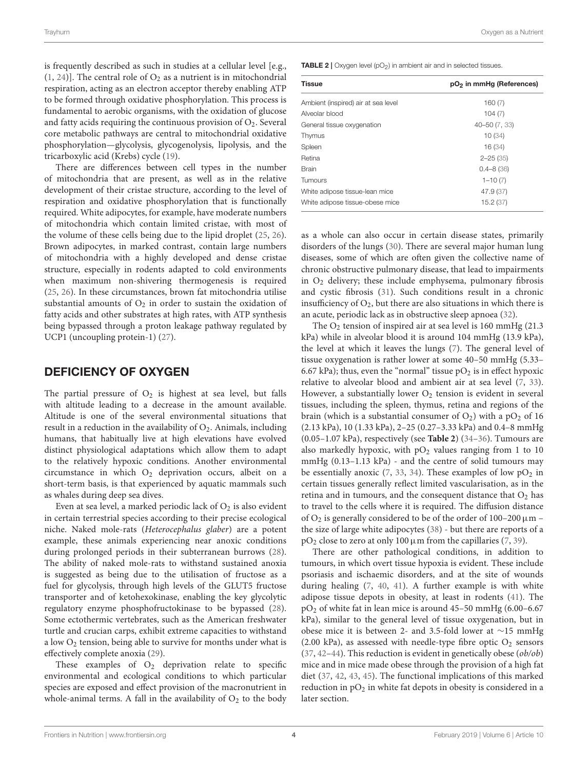is frequently described as such in studies at a cellular level [e.g.,  $(1, 24)$  $(1, 24)$  $(1, 24)$ ]. The central role of  $O<sub>2</sub>$  as a nutrient is in mitochondrial respiration, acting as an electron acceptor thereby enabling ATP to be formed through oxidative phosphorylation. This process is fundamental to aerobic organisms, with the oxidation of glucose and fatty acids requiring the continuous provision of  $O_2$ . Several core metabolic pathways are central to mitochondrial oxidative phosphorylation—glycolysis, glycogenolysis, lipolysis, and the tricarboxylic acid (Krebs) cycle [\(19\)](#page-7-7).

There are differences between cell types in the number of mitochondria that are present, as well as in the relative development of their cristae structure, according to the level of respiration and oxidative phosphorylation that is functionally required. White adipocytes, for example, have moderate numbers of mitochondria which contain limited cristae, with most of the volume of these cells being due to the lipid droplet [\(25,](#page-7-13) [26\)](#page-7-14). Brown adipocytes, in marked contrast, contain large numbers of mitochondria with a highly developed and dense cristae structure, especially in rodents adapted to cold environments when maximum non-shivering thermogenesis is required [\(25,](#page-7-13) [26\)](#page-7-14). In these circumstances, brown fat mitochondria utilise substantial amounts of  $O_2$  in order to sustain the oxidation of fatty acids and other substrates at high rates, with ATP synthesis being bypassed through a proton leakage pathway regulated by UCP1 (uncoupling protein-1) [\(27\)](#page-7-15).

### DEFICIENCY OF OXYGEN

The partial pressure of  $O_2$  is highest at sea level, but falls with altitude leading to a decrease in the amount available. Altitude is one of the several environmental situations that result in a reduction in the availability of  $O_2$ . Animals, including humans, that habitually live at high elevations have evolved distinct physiological adaptations which allow them to adapt to the relatively hypoxic conditions. Another environmental circumstance in which  $O_2$  deprivation occurs, albeit on a short-term basis, is that experienced by aquatic mammals such as whales during deep sea dives.

Even at sea level, a marked periodic lack of  $O_2$  is also evident in certain terrestrial species according to their precise ecological niche. Naked mole-rats (Heterocephalus glaber) are a potent example, these animals experiencing near anoxic conditions during prolonged periods in their subterranean burrows [\(28\)](#page-7-16). The ability of naked mole-rats to withstand sustained anoxia is suggested as being due to the utilisation of fructose as a fuel for glycolysis, through high levels of the GLUT5 fructose transporter and of ketohexokinase, enabling the key glycolytic regulatory enzyme phosphofructokinase to be bypassed [\(28\)](#page-7-16). Some ectothermic vertebrates, such as the American freshwater turtle and crucian carps, exhibit extreme capacities to withstand a low  $O_2$  tension, being able to survive for months under what is effectively complete anoxia [\(29\)](#page-7-17).

These examples of  $O_2$  deprivation relate to specific environmental and ecological conditions to which particular species are exposed and effect provision of the macronutrient in whole-animal terms. A fall in the availability of  $O_2$  to the body <span id="page-3-0"></span>**TABLE 2** | Oxygen level ( $pO<sub>2</sub>$ ) in ambient air and in selected tissues.

| <b>Tissue</b>                       | pO <sub>2</sub> in mmHg (References) |
|-------------------------------------|--------------------------------------|
| Ambient (inspired) air at sea level | 160(7)                               |
| Alveolar blood                      | 104(7)                               |
| General tissue oxygenation          | 40-50 (7, 33)                        |
| Thymus                              | 10(34)                               |
| Spleen                              | 16 (34)                              |
| Retina                              | $2 - 25(35)$                         |
| <b>Brain</b>                        | $0.4 - 8(36)$                        |
| Tumours                             | $1 - 10(7)$                          |
| White adipose tissue-lean mice      | 47.9 (37)                            |
| White adipose tissue-obese mice     | 15.2(37)                             |

as a whole can also occur in certain disease states, primarily disorders of the lungs [\(30\)](#page-7-23). There are several major human lung diseases, some of which are often given the collective name of chronic obstructive pulmonary disease, that lead to impairments in  $O<sub>2</sub>$  delivery; these include emphysema, pulmonary fibrosis and cystic fibrosis [\(31\)](#page-7-24). Such conditions result in a chronic insufficiency of  $O_2$ , but there are also situations in which there is an acute, periodic lack as in obstructive sleep apnoea [\(32\)](#page-7-25).

The O<sub>2</sub> tension of inspired air at sea level is 160 mmHg (21.3) kPa) while in alveolar blood it is around 104 mmHg (13.9 kPa), the level at which it leaves the lungs [\(7\)](#page-6-5). The general level of tissue oxygenation is rather lower at some 40–50 mmHg (5.33– 6.67 kPa); thus, even the "normal" tissue  $pO_2$  is in effect hypoxic relative to alveolar blood and ambient air at sea level [\(7,](#page-6-5) [33\)](#page-7-18). However, a substantially lower  $O_2$  tension is evident in several tissues, including the spleen, thymus, retina and regions of the brain (which is a substantial consumer of  $O_2$ ) with a p $O_2$  of 16 (2.13 kPa), 10 (1.33 kPa), 2–25 (0.27–3.33 kPa) and 0.4–8 mmHg (0.05–1.07 kPa), respectively (see **[Table 2](#page-3-0)**) [\(34](#page-7-19)[–36\)](#page-7-21). Tumours are also markedly hypoxic, with  $pO<sub>2</sub>$  values ranging from 1 to 10 mmHg (0.13–1.13 kPa) - and the centre of solid tumours may be essentially anoxic [\(7,](#page-6-5) [33,](#page-7-18) [34\)](#page-7-19). These examples of low  $pO_2$  in certain tissues generally reflect limited vascularisation, as in the retina and in tumours, and the consequent distance that  $O_2$  has to travel to the cells where it is required. The diffusion distance of O<sub>2</sub> is generally considered to be of the order of 100–200  $\upmu$  m – the size of large white adipocytes [\(38\)](#page-7-26) - but there are reports of a  $pO<sub>2</sub>$  close to zero at only 100  $\mu$ m from the capillaries [\(7,](#page-6-5) [39\)](#page-7-27).

There are other pathological conditions, in addition to tumours, in which overt tissue hypoxia is evident. These include psoriasis and ischaemic disorders, and at the site of wounds during healing [\(7,](#page-6-5) [40,](#page-7-28) [41\)](#page-7-29). A further example is with white adipose tissue depots in obesity, at least in rodents [\(41\)](#page-7-29). The pO<sup>2</sup> of white fat in lean mice is around 45–50 mmHg (6.00–6.67 kPa), similar to the general level of tissue oxygenation, but in obese mice it is between 2- and 3.5-fold lower at ∼15 mmHg (2.00 kPa), as assessed with needle-type fibre optic  $O_2$  sensors  $(37, 42-44)$  $(37, 42-44)$  $(37, 42-44)$ . This reduction is evident in genetically obese  $(ob/ob)$ mice and in mice made obese through the provision of a high fat diet [\(37,](#page-7-22) [42,](#page-7-30) [43,](#page-7-32) [45\)](#page-7-33). The functional implications of this marked reduction in  $pO<sub>2</sub>$  in white fat depots in obesity is considered in a later section.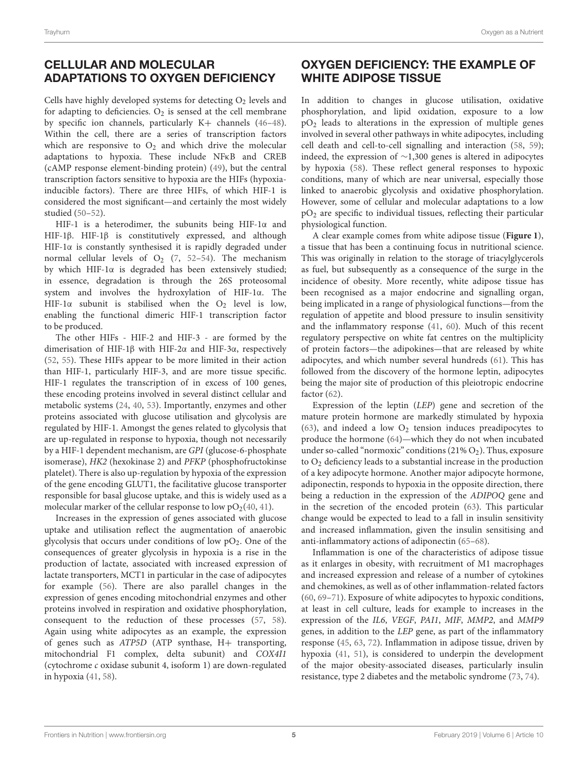## CELLULAR AND MOLECULAR ADAPTATIONS TO OXYGEN DEFICIENCY

Cells have highly developed systems for detecting  $O<sub>2</sub>$  levels and for adapting to deficiencies.  $O_2$  is sensed at the cell membrane by specific ion channels, particularly K+ channels [\(46–](#page-7-34)[48\)](#page-7-35). Within the cell, there are a series of transcription factors which are responsive to  $O_2$  and which drive the molecular adaptations to hypoxia. These include NFκB and CREB (cAMP response element-binding protein) [\(49\)](#page-7-36), but the central transcription factors sensitive to hypoxia are the HIFs (hypoxiainducible factors). There are three HIFs, of which HIF-1 is considered the most significant—and certainly the most widely studied [\(50](#page-7-37)[–52\)](#page-7-38).

HIF-1 is a heterodimer, the subunits being HIF-1α and HIF-1β. HIF-1β is constitutively expressed, and although HIF-1 $\alpha$  is constantly synthesised it is rapidly degraded under normal cellular levels of  $O_2$  [\(7,](#page-6-5) [52–](#page-7-38)[54\)](#page-7-39). The mechanism by which HIF-1α is degraded has been extensively studied; in essence, degradation is through the 26S proteosomal system and involves the hydroxylation of HIF-1α. The HIF-1 $\alpha$  subunit is stabilised when the O<sub>2</sub> level is low, enabling the functional dimeric HIF-1 transcription factor to be produced.

The other HIFs - HIF-2 and HIF-3 - are formed by the dimerisation of HIF-1β with HIF-2α and HIF-3α, respectively [\(52,](#page-7-38) [55\)](#page-7-40). These HIFs appear to be more limited in their action than HIF-1, particularly HIF-3, and are more tissue specific. HIF-1 regulates the transcription of in excess of 100 genes, these encoding proteins involved in several distinct cellular and metabolic systems [\(24,](#page-7-12) [40,](#page-7-28) [53\)](#page-7-41). Importantly, enzymes and other proteins associated with glucose utilisation and glycolysis are regulated by HIF-1. Amongst the genes related to glycolysis that are up-regulated in response to hypoxia, though not necessarily by a HIF-1 dependent mechanism, are GPI (glucose-6-phosphate isomerase), HK2 (hexokinase 2) and PFKP (phosphofructokinse platelet). There is also up-regulation by hypoxia of the expression of the gene encoding GLUT1, the facilitative glucose transporter responsible for basal glucose uptake, and this is widely used as a molecular marker of the cellular response to low  $pO<sub>2</sub>(40, 41)$  $pO<sub>2</sub>(40, 41)$  $pO<sub>2</sub>(40, 41)$  $pO<sub>2</sub>(40, 41)$ .

Increases in the expression of genes associated with glucose uptake and utilisation reflect the augmentation of anaerobic glycolysis that occurs under conditions of low  $pO<sub>2</sub>$ . One of the consequences of greater glycolysis in hypoxia is a rise in the production of lactate, associated with increased expression of lactate transporters, MCT1 in particular in the case of adipocytes for example [\(56\)](#page-7-42). There are also parallel changes in the expression of genes encoding mitochondrial enzymes and other proteins involved in respiration and oxidative phosphorylation, consequent to the reduction of these processes [\(57,](#page-7-43) [58\)](#page-7-44). Again using white adipocytes as an example, the expression of genes such as ATP5D (ATP synthase, H+ transporting, mitochondrial F1 complex, delta subunit) and COX4I1 (cytochrome c oxidase subunit 4, isoform 1) are down-regulated in hypoxia [\(41,](#page-7-29) [58\)](#page-7-44).

# OXYGEN DEFICIENCY: THE EXAMPLE OF WHITE ADIPOSE TISSUE

In addition to changes in glucose utilisation, oxidative phosphorylation, and lipid oxidation, exposure to a low  $pO<sub>2</sub>$  leads to alterations in the expression of multiple genes involved in several other pathways in white adipocytes, including cell death and cell-to-cell signalling and interaction [\(58,](#page-7-44) [59\)](#page-7-45); indeed, the expression of ∼1,300 genes is altered in adipocytes by hypoxia [\(58\)](#page-7-44). These reflect general responses to hypoxic conditions, many of which are near universal, especially those linked to anaerobic glycolysis and oxidative phosphorylation. However, some of cellular and molecular adaptations to a low pO<sup>2</sup> are specific to individual tissues, reflecting their particular physiological function.

A clear example comes from white adipose tissue (**[Figure 1](#page-5-0)**), a tissue that has been a continuing focus in nutritional science. This was originally in relation to the storage of triacylglycerols as fuel, but subsequently as a consequence of the surge in the incidence of obesity. More recently, white adipose tissue has been recognised as a major endocrine and signalling organ, being implicated in a range of physiological functions—from the regulation of appetite and blood pressure to insulin sensitivity and the inflammatory response [\(41,](#page-7-29) [60\)](#page-7-46). Much of this recent regulatory perspective on white fat centres on the multiplicity of protein factors—the adipokines—that are released by white adipocytes, and which number several hundreds [\(61\)](#page-7-47). This has followed from the discovery of the hormone leptin, adipocytes being the major site of production of this pleiotropic endocrine factor [\(62\)](#page-8-0).

Expression of the leptin (LEP) gene and secretion of the mature protein hormone are markedly stimulated by hypoxia [\(63\)](#page-8-1), and indeed a low  $O_2$  tension induces preadipocytes to produce the hormone [\(64\)](#page-8-2)—which they do not when incubated under so-called "normoxic" conditions  $(21\% O<sub>2</sub>)$ . Thus, exposure to  $O<sub>2</sub>$  deficiency leads to a substantial increase in the production of a key adipocyte hormone. Another major adipocyte hormone, adiponectin, responds to hypoxia in the opposite direction, there being a reduction in the expression of the ADIPOQ gene and in the secretion of the encoded protein [\(63\)](#page-8-1). This particular change would be expected to lead to a fall in insulin sensitivity and increased inflammation, given the insulin sensitising and anti-inflammatory actions of adiponectin [\(65](#page-8-3)[–68\)](#page-8-4).

Inflammation is one of the characteristics of adipose tissue as it enlarges in obesity, with recruitment of M1 macrophages and increased expression and release of a number of cytokines and chemokines, as well as of other inflammation-related factors [\(60,](#page-7-46) [69–](#page-8-5)[71\)](#page-8-6). Exposure of white adipocytes to hypoxic conditions, at least in cell culture, leads for example to increases in the expression of the IL6, VEGF, PAI1, MIF, MMP2, and MMP9 genes, in addition to the LEP gene, as part of the inflammatory response [\(45,](#page-7-33) [63,](#page-8-1) [72\)](#page-8-7). Inflammation in adipose tissue, driven by hypoxia [\(41,](#page-7-29) [51\)](#page-7-48), is considered to underpin the development of the major obesity-associated diseases, particularly insulin resistance, type 2 diabetes and the metabolic syndrome [\(73,](#page-8-8) [74\)](#page-8-9).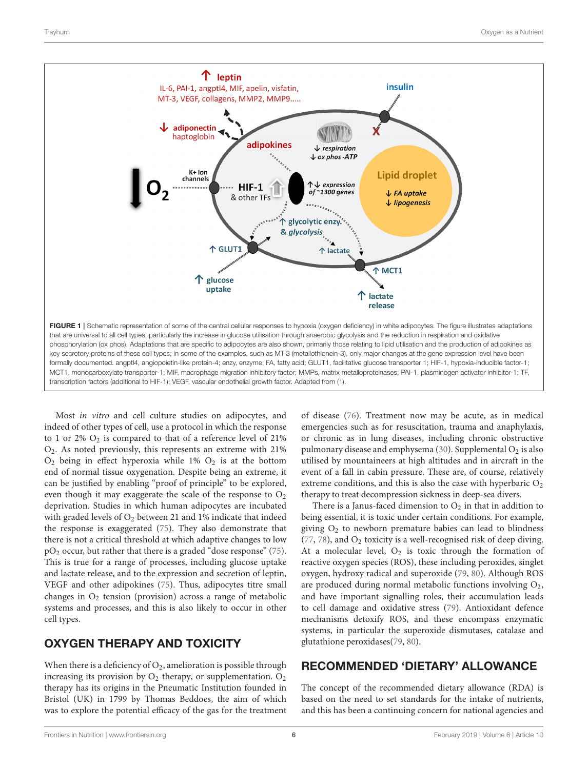

<span id="page-5-0"></span>Most in vitro and cell culture studies on adipocytes, and indeed of other types of cell, use a protocol in which the response to 1 or 2%  $O_2$  is compared to that of a reference level of 21% O2. As noted previously, this represents an extreme with 21%  $O_2$  being in effect hyperoxia while 1%  $O_2$  is at the bottom end of normal tissue oxygenation. Despite being an extreme, it can be justified by enabling "proof of principle" to be explored, even though it may exaggerate the scale of the response to  $O_2$ deprivation. Studies in which human adipocytes are incubated with graded levels of  $O_2$  between 21 and 1% indicate that indeed the response is exaggerated [\(75\)](#page-8-10). They also demonstrate that there is not a critical threshold at which adaptive changes to low  $pO<sub>2</sub>$  occur, but rather that there is a graded "dose response" [\(75\)](#page-8-10). This is true for a range of processes, including glucose uptake and lactate release, and to the expression and secretion of leptin, VEGF and other adipokines [\(75\)](#page-8-10). Thus, adipocytes titre small changes in  $O_2$  tension (provision) across a range of metabolic systems and processes, and this is also likely to occur in other cell types.

## OXYGEN THERAPY AND TOXICITY

When there is a deficiency of  $O_2$ , amelioration is possible through increasing its provision by  $O_2$  therapy, or supplementation.  $O_2$ therapy has its origins in the Pneumatic Institution founded in Bristol (UK) in 1799 by Thomas Beddoes, the aim of which was to explore the potential efficacy of the gas for the treatment of disease [\(76\)](#page-8-11). Treatment now may be acute, as in medical emergencies such as for resuscitation, trauma and anaphylaxis, or chronic as in lung diseases, including chronic obstructive pulmonary disease and emphysema [\(30\)](#page-7-23). Supplemental  $O_2$  is also utilised by mountaineers at high altitudes and in aircraft in the event of a fall in cabin pressure. These are, of course, relatively extreme conditions, and this is also the case with hyperbaric  $O<sub>2</sub>$ therapy to treat decompression sickness in deep-sea divers.

There is a Janus-faced dimension to  $O_2$  in that in addition to being essential, it is toxic under certain conditions. For example, giving  $O_2$  to newborn premature babies can lead to blindness  $(77, 78)$  $(77, 78)$  $(77, 78)$ , and  $O<sub>2</sub>$  toxicity is a well-recognised risk of deep diving. At a molecular level,  $O_2$  is toxic through the formation of reactive oxygen species (ROS), these including peroxides, singlet oxygen, hydroxy radical and superoxide [\(79,](#page-8-14) [80\)](#page-8-15). Although ROS are produced during normal metabolic functions involving O<sub>2</sub>, and have important signalling roles, their accumulation leads to cell damage and oxidative stress [\(79\)](#page-8-14). Antioxidant defence mechanisms detoxify ROS, and these encompass enzymatic systems, in particular the superoxide dismutases, catalase and glutathione peroxidases[\(79,](#page-8-14) [80\)](#page-8-15).

### RECOMMENDED 'DIETARY' ALLOWANCE

The concept of the recommended dietary allowance (RDA) is based on the need to set standards for the intake of nutrients, and this has been a continuing concern for national agencies and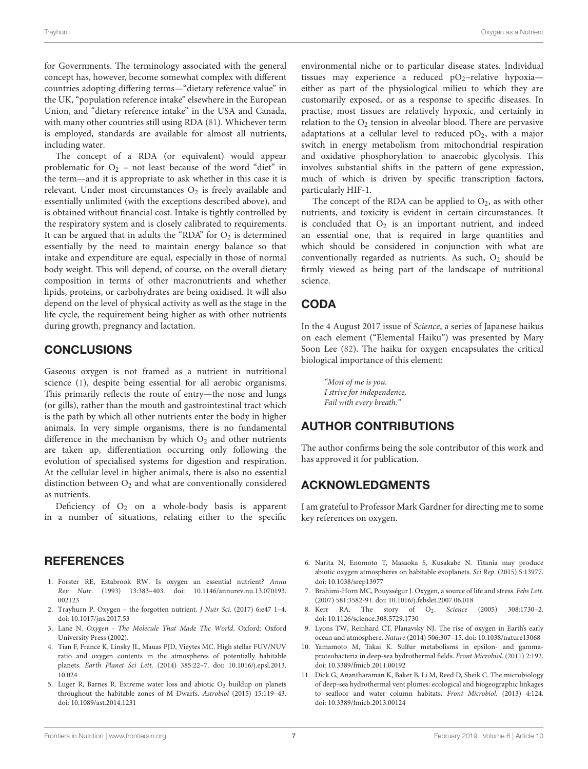for Governments. The terminology associated with the general concept has, however, become somewhat complex with different countries adopting differing terms—"dietary reference value" in the UK, "population reference intake" elsewhere in the European Union, and "dietary reference intake" in the USA and Canada, with many other countries still using RDA [\(81\)](#page-8-16). Whichever term is employed, standards are available for almost all nutrients, including water.

The concept of a RDA (or equivalent) would appear problematic for  $O_2$  – not least because of the word "diet" in the term—and it is appropriate to ask whether in this case it is relevant. Under most circumstances  $O_2$  is freely available and essentially unlimited (with the exceptions described above), and is obtained without financial cost. Intake is tightly controlled by the respiratory system and is closely calibrated to requirements. It can be argued that in adults the "RDA" for  $O_2$  is determined essentially by the need to maintain energy balance so that intake and expenditure are equal, especially in those of normal body weight. This will depend, of course, on the overall dietary composition in terms of other macronutrients and whether lipids, proteins, or carbohydrates are being oxidised. It will also depend on the level of physical activity as well as the stage in the life cycle, the requirement being higher as with other nutrients during growth, pregnancy and lactation.

#### **CONCLUSIONS**

Gaseous oxygen is not framed as a nutrient in nutritional science [\(1\)](#page-6-0), despite being essential for all aerobic organisms. This primarily reflects the route of entry—the nose and lungs (or gills), rather than the mouth and gastrointestinal tract which is the path by which all other nutrients enter the body in higher animals. In very simple organisms, there is no fundamental difference in the mechanism by which  $O_2$  and other nutrients are taken up, differentiation occurring only following the evolution of specialised systems for digestion and respiration. At the cellular level in higher animals, there is also no essential distinction between  $O_2$  and what are conventionally considered as nutrients.

Deficiency of  $O_2$  on a whole-body basis is apparent in a number of situations, relating either to the specific

#### **REFERENCES**

- <span id="page-6-0"></span>1. Forster RE, Estabrook RW. Is oxygen an essential nutrient? Annu Rev Nutr[. \(1993\) 13:383–403. doi: 10.1146/annurev.nu.13.070193.](https://doi.org/10.1146/annurev.nu.13.070193.002123) 002123
- <span id="page-6-1"></span>2. Trayhurn P. Oxygen – the forgotten nutrient. J Nutr Sci. (2017) 6:e47 1–4. doi: [10.1017/jns.2017.53](https://doi.org/10.1017/jns.2017.53)
- <span id="page-6-2"></span>3. Lane N. Oxygen - The Molecule That Made The World. Oxford: Oxford University Press (2002).
- <span id="page-6-3"></span>4. Tian F, France K, Linsky JL, Mauas PJD, Vieytes MC. High stellar FUV/NUV ratio and oxygen contents in the atmospheres of potentially habitable planets. Earth Planet Sci Lett. [\(2014\) 385:22–7. doi: 10.1016/j.epsl.2013.](https://doi.org/10.1016/j.epsl.2013.10.024) 10.024
- 5. Luger R, Barnes R. Extreme water loss and abiotic  $O_2$  buildup on planets throughout the habitable zones of M Dwarfs. Astrobiol (2015) 15:119–43. doi: [10.1089/ast.2014.1231](https://doi.org/10.1089/ast.2014.1231)

environmental niche or to particular disease states. Individual tissues may experience a reduced  $pO<sub>2</sub>$ -relative hypoxia either as part of the physiological milieu to which they are customarily exposed, or as a response to specific diseases. In practise, most tissues are relatively hypoxic, and certainly in relation to the  $O_2$  tension in alveolar blood. There are pervasive adaptations at a cellular level to reduced  $pO_2$ , with a major switch in energy metabolism from mitochondrial respiration and oxidative phosphorylation to anaerobic glycolysis. This involves substantial shifts in the pattern of gene expression, much of which is driven by specific transcription factors, particularly HIF-1.

The concept of the RDA can be applied to  $O_2$ , as with other nutrients, and toxicity is evident in certain circumstances. It is concluded that  $O_2$  is an important nutrient, and indeed an essential one, that is required in large quantities and which should be considered in conjunction with what are conventionally regarded as nutrients. As such,  $O_2$  should be firmly viewed as being part of the landscape of nutritional science.

#### **CODA**

In the 4 August 2017 issue of Science, a series of Japanese haikus on each element ("Elemental Haiku") was presented by Mary Soon Lee [\(82\)](#page-8-17). The haiku for oxygen encapsulates the critical biological importance of this element:

"Most of me is you. I strive for independence, Fail with every breath."

### AUTHOR CONTRIBUTIONS

The author confirms being the sole contributor of this work and has approved it for publication.

#### ACKNOWLEDGMENTS

I am grateful to Professor Mark Gardner for directing me to some key references on oxygen.

- <span id="page-6-4"></span>6. Narita N, Enomoto T, Masaoka S, Kusakabe N. Titania may produce abiotic oxygen atmospheres on habitable exoplanets. Sci Rep. (2015) 5:13977. doi: [10.1038/srep13977](https://doi.org/10.1038/srep13977)
- <span id="page-6-5"></span>7. Brahimi-Horn MC, Pouysségur J. Oxygen, a source of life and stress. Febs Lett. (2007) 581:3582-91. doi: [10.1016/j.febslet.2007.06.018](https://doi.org/10.1016/j.febslet.2007.06.018)
- <span id="page-6-6"></span>8. Kerr RA. The story of O<sub>2</sub>. Science (2005) 308:1730-2. doi: [10.1126/science.308.5729.1730](https://doi.org/10.1126/science.308.5729.1730)
- <span id="page-6-7"></span>9. Lyons TW, Reinhard CT, Planavsky NJ. The rise of oxygen in Earth's early ocean and atmosphere. Nature (2014) 506:307–15. doi: [10.1038/nature13068](https://doi.org/10.1038/nature13068)
- <span id="page-6-8"></span>10. Yamamoto M, Takai K. Sulfur metabolisms in epsilon- and gammaproteobacteria in deep-sea hydrothermal fields. Front Microbiol. (2011) 2:192. doi: [10.3389/fmicb.2011.00192](https://doi.org/10.3389/fmicb.2011.00192)
- <span id="page-6-9"></span>11. Dick G, Anantharaman K, Baker B, Li M, Reed D, Sheik C. The microbiology of deep-sea hydrothermal vent plumes: ecological and biogeographic linkages to seafloor and water column habitats. Front Microbiol. (2013) 4:124. doi: [10.3389/fmicb.2013.00124](https://doi.org/10.3389/fmicb.2013.00124)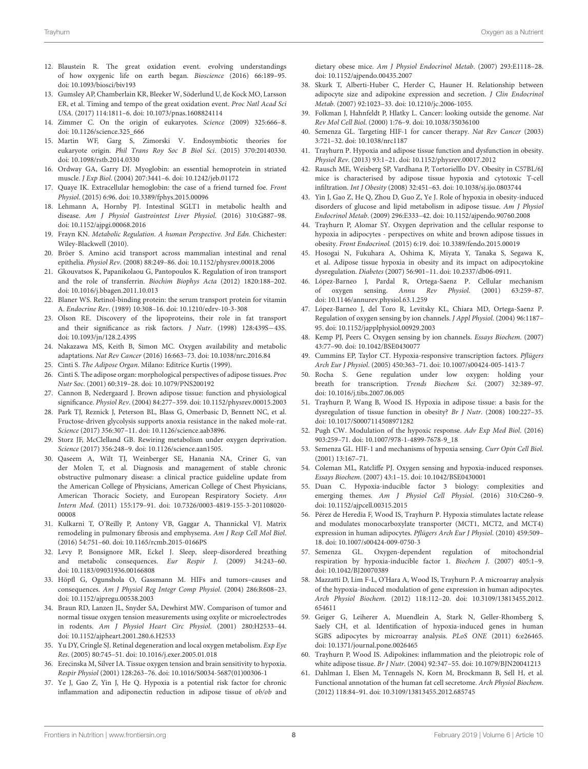- <span id="page-7-0"></span>12. Blaustein R. The great oxidation event. evolving understandings of how oxygenic life on earth began. Bioscience (2016) 66:189–95. doi: [10.1093/biosci/biv193](https://doi.org/10.1093/biosci/biv193)
- <span id="page-7-1"></span>13. Gumsley AP, Chamberlain KR, Bleeker W, Söderlund U, de Kock MO, Larsson ER, et al. Timing and tempo of the great oxidation event. Proc Natl Acad Sci USA. (2017) 114:1811–6. doi: [10.1073/pnas.1608824114](https://doi.org/10.1073/pnas.1608824114)
- <span id="page-7-2"></span>14. Zimmer C. On the origin of eukaryotes. Science (2009) 325:666–8. doi: [10.1126/science.325\\_666](https://doi.org/10.1126/science.325_666)
- <span id="page-7-3"></span>15. Martin WF, Garg S, Zimorski V. Endosymbiotic theories for eukaryote origin. Phil Trans Roy Soc B Biol Sci. (2015) 370:20140330. doi: [10.1098/rstb.2014.0330](https://doi.org/10.1098/rstb.2014.0330)
- <span id="page-7-4"></span>16. Ordway GA, Garry DJ. Myoglobin: an essential hemoprotein in striated muscle. J Exp Biol. (2004) 207:3441–6. doi: [10.1242/jeb.01172](https://doi.org/10.1242/jeb.01172)
- <span id="page-7-5"></span>17. Quaye IK. Extracellular hemoglobin: the case of a friend turned foe. Front Physiol. (2015) 6:96. doi: [10.3389/fphys.2015.00096](https://doi.org/10.3389/fphys.2015.00096)
- <span id="page-7-6"></span>18. Lehmann A, Hornby PJ. Intestinal SGLT1 in metabolic health and disease. Am J Physiol Gastrointest Liver Physiol. (2016) 310:G887–98. doi: [10.1152/ajpgi.00068.2016](https://doi.org/10.1152/ajpgi.00068.2016)
- <span id="page-7-7"></span>19. Frayn KN. Metabolic Regulation. A human Perspective. 3rd Edn. Chichester: Wiley-Blackwell (2010).
- <span id="page-7-8"></span>20. Bröer S. Amino acid transport across mammalian intestinal and renal epithelia. Physiol Rev. (2008) 88:249–86. doi: [10.1152/physrev.00018.2006](https://doi.org/10.1152/physrev.00018.2006)
- <span id="page-7-9"></span>21. Gkouvatsos K, Papanikolaou G, Pantopoulos K. Regulation of iron transport and the role of transferrin. Biochim Biophys Acta (2012) 1820:188–202. doi: [10.1016/j.bbagen.2011.10.013](https://doi.org/10.1016/j.bbagen.2011.10.013)
- <span id="page-7-10"></span>22. Blaner WS. Retinol-binding protein: the serum transport protein for vitamin A. Endocrine Rev. (1989) 10:308–16. doi: [10.1210/edrv-10-3-308](https://doi.org/10.1210/edrv-10-3-308)
- <span id="page-7-11"></span>23. Olson RE. Discovery of the lipoproteins, their role in fat transport and their significance as risk factors. J Nutr. (1998) 128:439S−43S. doi: [10.1093/jn/128.2.439S](https://doi.org/10.1093/jn/128.2.439S)
- <span id="page-7-12"></span>24. Nakazawa MS, Keith B, Simon MC. Oxygen availability and metabolic adaptations. Nat Rev Cancer (2016) 16:663–73. doi: [10.1038/nrc.2016.84](https://doi.org/10.1038/nrc.2016.84)
- <span id="page-7-13"></span>25. Cinti S. The Adipose Organ. Milano: Editrice Kurtis (1999).
- <span id="page-7-14"></span>26. Cinti S. The adipose organ: morphological perspectives of adipose tissues. Proc Nutr Soc. (2001) 60:319–28. doi: [10.1079/PNS200192](https://doi.org/10.1079/PNS200192)
- <span id="page-7-15"></span>27. Cannon B, Nedergaard J. Brown adipose tissue: function and physiological significance. Physiol Rev. (2004) 84:277–359. doi: [10.1152/physrev.00015.2003](https://doi.org/10.1152/physrev.00015.2003)
- <span id="page-7-16"></span>28. Park TJ, Reznick J, Peterson BL, Blass G, Omerbasic D, Bennett NC, et al. Fructose-driven glycolysis supports anoxia resistance in the naked mole-rat. Science (2017) 356:307–11. doi: [10.1126/science.aab3896.](https://doi.org/10.1126/science.aab3896.)
- <span id="page-7-17"></span>29. Storz JF, McClelland GB. Rewiring metabolism under oxygen deprivation. Science (2017) 356:248–9. doi: [10.1126/science.aan1505.](https://doi.org/10.1126/science.aan1505.)
- <span id="page-7-23"></span>30. Qaseem A, Wilt TJ, Weinberger SE, Hanania NA, Criner G, van der Molen T, et al. Diagnosis and management of stable chronic obstructive pulmonary disease: a clinical practice guideline update from the American College of Physicians, American College of Chest Physicians, American Thoracic Society, and European Respiratory Society. Ann Intern Med[. \(2011\) 155:179–91. doi: 10.7326/0003-4819-155-3-201108020-](https://doi.org/10.7326/0003-4819-155-3-201108020-00008) 00008
- <span id="page-7-24"></span>31. Kulkarni T, O'Reilly P, Antony VB, Gaggar A, Thannickal VJ. Matrix remodeling in pulmonary fibrosis and emphysema. Am J Resp Cell Mol Biol. (2016) 54:751–60. doi: [10.1165/rcmb.2015-0166PS](https://doi.org/10.1165/rcmb.2015-0166PS)
- <span id="page-7-25"></span>32. Levy P, Bonsignore MR, Eckel J. Sleep, sleep-disordered breathing and metabolic consequences. Eur Respir J. (2009) 34:243–60. doi: [10.1183/09031936.00166808](https://doi.org/10.1183/09031936.00166808)
- <span id="page-7-18"></span>33. Höpfl G, Ogunshola O, Gassmann M. HIFs and tumors–causes and consequences. Am J Physiol Reg Integr Comp Physiol. (2004) 286:R608–23. doi: [10.1152/ajpregu.00538.2003](https://doi.org/10.1152/ajpregu.00538.2003)
- <span id="page-7-19"></span>34. Braun RD, Lanzen JL, Snyder SA, Dewhirst MW. Comparison of tumor and normal tissue oxygen tension measurements using oxylite or microelectrodes in rodents. Am J Physiol Heart Circ Physiol. (2001) 280:H2533–44. doi: [10.1152/ajpheart.2001.280.6.H2533](https://doi.org/10.1152/ajpheart.2001.280.6.H2533)
- <span id="page-7-20"></span>35. Yu DY, Cringle SJ. Retinal degeneration and local oxygen metabolism. Exp Eye Res. (2005) 80:745–51. doi: [10.1016/j.exer.2005.01.018](https://doi.org/10.1016/j.exer.2005.01.018)
- <span id="page-7-21"></span>36. Erecinska M, Silver IA. Tissue oxygen tension and brain sensitivity to hypoxia. Respir Physiol (2001) 128:263–76. doi: [10.1016/S0034-5687\(01\)00306-1](https://doi.org/10.1016/S0034-5687(01)00306-1)
- <span id="page-7-22"></span>37. Ye J, Gao Z, Yin J, He Q. Hypoxia is a potential risk factor for chronic inflammation and adiponectin reduction in adipose tissue of ob/ob and

dietary obese mice. Am J Physiol Endocrinol Metab. (2007) 293:E1118–28. doi: [10.1152/ajpendo.00435.2007](https://doi.org/10.1152/ajpendo.00435.2007)

- <span id="page-7-26"></span>38. Skurk T, Alberti-Huber C, Herder C, Hauner H. Relationship between adipocyte size and adipokine expression and secretion. J Clin Endocrinol Metab. (2007) 92:1023–33. doi: [10.1210/jc.2006-1055.](https://doi.org/10.1210/jc.2006-1055.)
- <span id="page-7-27"></span>39. Folkman J, Hahnfeldt P, Hlatky L. Cancer: looking outside the genome. Nat Rev Mol Cell Biol. (2000) 1:76–9. doi: [10.1038/35036100](https://doi.org/10.1038/35036100)
- <span id="page-7-28"></span>40. Semenza GL. Targeting HIF-1 for cancer therapy. Nat Rev Cancer (2003) 3:721–32. doi: [10.1038/nrc1187](https://doi.org/10.1038/nrc1187)
- <span id="page-7-29"></span>41. Trayhurn P. Hypoxia and adipose tissue function and dysfunction in obesity. Physiol Rev. (2013) 93:1–21. doi: [10.1152/physrev.00017.2012](https://doi.org/10.1152/physrev.00017.2012)
- <span id="page-7-30"></span>42. Rausch ME, Weisberg SP, Vardhana P, Tortorielllo DV. Obesity in C57BL/6J mice is characterised by adipose tissue hypoxia and cytotoxic T-cell infiltration. Int J Obesity (2008) 32:451–63. doi: [10.1038/sj.ijo.0803744](https://doi.org/10.1038/sj.ijo.0803744)
- <span id="page-7-32"></span>43. Yin J, Gao Z, He Q, Zhou D, Guo Z, Ye J. Role of hypoxia in obesity-induced disorders of glucose and lipid metabolism in adipose tissue. Am J Physiol Endocrinol Metab. (2009) 296:E333–42. doi: [10.1152/ajpendo.90760.2008](https://doi.org/10.1152/ajpendo.90760.2008)
- <span id="page-7-31"></span>44. Trayhurn P, Alomar SY. Oxygen deprivation and the cellular response to hypoxia in adipocytes - perspectives on white and brown adipose tissues in obesity. Front Endocrinol. (2015) 6:19. doi: [10.3389/fendo.2015.00019](https://doi.org/10.3389/fendo.2015.00019)
- <span id="page-7-33"></span>45. Hosogai N, Fukuhara A, Oshima K, Miyata Y, Tanaka S, Segawa K, et al. Adipose tissue hypoxia in obesity and its impact on adipocytokine dysregulation. Diabetes (2007) 56:901–11. doi: [10.2337/db06-0911.](https://doi.org/10.2337/db06-0911.)
- <span id="page-7-34"></span>46. López-Barneo J, Pardal R, Ortega-Saenz P. Cellular mechanism of oxygen sensing. Annu Rev Physiol. (2001) 63:259–87. doi: [10.1146/annurev.physiol.63.1.259](https://doi.org/10.1146/annurev.physiol.63.1.259)
- 47. López-Barneo J, del Toro R, Levitsky KL, Chiara MD, Ortega-Saenz P. Regulation of oxygen sensing by ion channels. J Appl Physiol. (2004) 96:1187– 95. doi: [10.1152/japplphysiol.00929.2003](https://doi.org/10.1152/japplphysiol.00929.2003)
- <span id="page-7-35"></span>48. Kemp PJ, Peers C. Oxygen sensing by ion channels. Essays Biochem. (2007) 43:77–90. doi: [10.1042/BSE0430077](https://doi.org/10.1042/BSE0430077)
- <span id="page-7-36"></span>49. Cummins EP, Taylor CT. Hypoxia-responsive transcription factors. Pflügers Arch Eur J Physiol. (2005) 450:363–71. doi: [10.1007/s00424-005-1413-7](https://doi.org/10.1007/s00424-005-1413-7)
- <span id="page-7-37"></span>50. Rocha S. Gene regulation under low oxygen: holding your breath for transcription. Trends Biochem Sci. (2007) 32:389–97. doi: [10.1016/j.tibs.2007.06.005](https://doi.org/10.1016/j.tibs.2007.06.005)
- <span id="page-7-48"></span>51. Trayhurn P, Wang B, Wood IS. Hypoxia in adipose tissue: a basis for the dysregulation of tissue function in obesity? Br J Nutr. (2008) 100:227–35. doi: [10.1017/S0007114508971282](https://doi.org/10.1017/S0007114508971282)
- <span id="page-7-38"></span>52. Pugh CW. Modulation of the hypoxic response. Adv Exp Med Biol. (2016) 903:259–71. doi: [10.1007/978-1-4899-7678-9\\_18](https://doi.org/10.1007/978-1-4899-7678-9_18)
- <span id="page-7-41"></span>53. Semenza GL. HIF-1 and mechanisms of hypoxia sensing. Curr Opin Cell Biol. (2001) 13:167–71.
- <span id="page-7-39"></span>54. Coleman ML, Ratcliffe PJ. Oxygen sensing and hypoxia-induced responses. Essays Biochem. (2007) 43:1–15. doi: [10.1042/BSE0430001](https://doi.org/10.1042/BSE0430001)
- <span id="page-7-40"></span>55. Duan C. Hypoxia-inducible factor 3 biology: complexities and emerging themes. Am J Physiol Cell Physiol. (2016) 310:C260-9. doi: [10.1152/ajpcell.00315.2015](https://doi.org/10.1152/ajpcell.00315.2015)
- <span id="page-7-42"></span>56. Pérez de Heredia F, Wood IS, Trayhurn P. Hypoxia stimulates lactate release and modulates monocarboxylate transporter (MCT1, MCT2, and MCT4) expression in human adipocytes. Pflügers Arch Eur J Physiol. (2010) 459:509– 18. doi: [10.1007/s00424-009-0750-3](https://doi.org/10.1007/s00424-009-0750-3)
- <span id="page-7-43"></span>57. Semenza GL. Oxygen-dependent regulation of mitochondrial respiration by hypoxia-inducible factor 1. Biochem J. (2007) 405:1–9. doi: [10.1042/BJ20070389](https://doi.org/10.1042/BJ20070389)
- <span id="page-7-44"></span>58. Mazzatti D, Lim F-L, O'Hara A, Wood IS, Trayhurn P. A microarray analysis of the hypoxia-induced modulation of gene expression in human adipocytes. Arch Physiol Biochem[. \(2012\) 118:112–20. doi: 10.3109/13813455.2012.](https://doi.org/10.3109/13813455.2012.654611) 654611
- <span id="page-7-45"></span>59. Geiger G, Leiherer A, Muendlein A, Stark N, Geller-Rhomberg S, Saely CH, et al. Identification of hypoxia-induced genes in human SGBS adipocytes by microarray analysis. PLoS ONE (2011) 6:e26465. doi: [10.1371/journal.pone.0026465](https://doi.org/10.1371/journal.pone.0026465)
- <span id="page-7-46"></span>60. Trayhurn P, Wood IS. Adipokines: inflammation and the pleiotropic role of white adipose tissue. Br J Nutr. (2004) 92:347–55. doi: [10.1079/BJN20041213](https://doi.org/10.1079/BJN20041213)
- <span id="page-7-47"></span>61. Dahlman I, Elsen M, Tennagels N, Korn M, Brockmann B, Sell H, et al. Functional annotation of the human fat cell secretome. Arch Physiol Biochem. (2012) 118:84–91. doi: [10.3109/13813455.2012.685745](https://doi.org/10.3109/13813455.2012.685745)